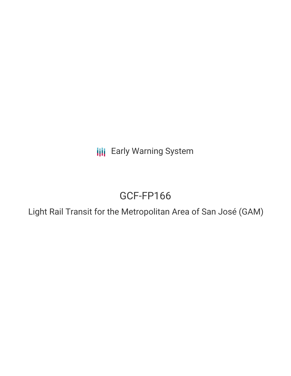**III** Early Warning System

# GCF-FP166

Light Rail Transit for the Metropolitan Area of San José (GAM)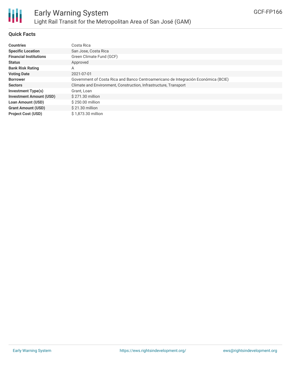

# **Quick Facts**

| <b>Countries</b>               | Costa Rica                                                                         |
|--------------------------------|------------------------------------------------------------------------------------|
| <b>Specific Location</b>       | San Jose, Costa Rica                                                               |
| <b>Financial Institutions</b>  | Green Climate Fund (GCF)                                                           |
| <b>Status</b>                  | Approved                                                                           |
| <b>Bank Risk Rating</b>        | Α                                                                                  |
| <b>Voting Date</b>             | 2021-07-01                                                                         |
| <b>Borrower</b>                | Government of Costa Rica and Banco Centroamericano de Integración Económica (BCIE) |
| <b>Sectors</b>                 | Climate and Environment, Construction, Infrastructure, Transport                   |
| <b>Investment Type(s)</b>      | Grant, Loan                                                                        |
| <b>Investment Amount (USD)</b> | \$271.30 million                                                                   |
| <b>Loan Amount (USD)</b>       | $$250.00$ million                                                                  |
| <b>Grant Amount (USD)</b>      | \$21.30 million                                                                    |
| <b>Project Cost (USD)</b>      | \$1.873.30 million                                                                 |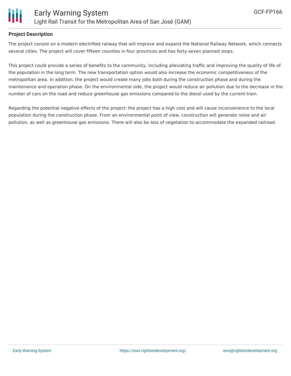

## **Project Description**

The project consist on a modern electrified railway that will improve and expand the National Railway Network, which connects several cities. The project will cover fifteen counties in four provinces and has forty-seven planned stops.

This project could provide a series of benefits to the community, including alleviating traffic and improving the quality of life of the population in the long term. The new transportation option would also increase the economic competitiveness of the metropolitan area. In addition, the project would create many jobs both during the construction phase and during the maintenance and operation phase. On the environmental side, the project would reduce air pollution due to the decrease in the number of cars on the road and reduce greenhouse gas emissions compared to the diesel used by the current train.

Regarding the potential negative effects of the project: the project has a high cost and will cause inconvenience to the local population during the construction phase. From an environmental point of view, construction will generate noise and air pollution, as well as greenhouse gas emissions. There will also be loss of vegetation to accommodate the expanded railroad.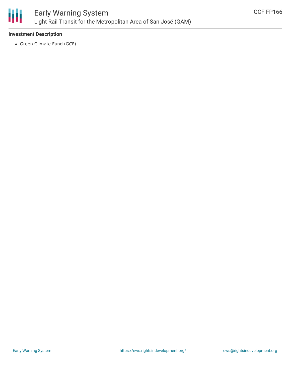

# **Investment Description**

• Green Climate Fund (GCF)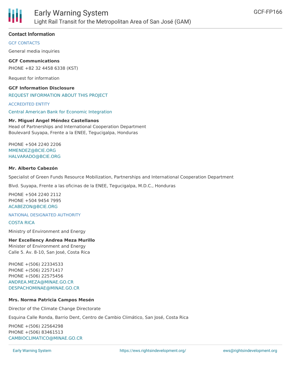

## **Contact Information**

GCF CONTACTS

General media inquiries

**GCF Communications** PHONE +82 32 4458 6338 (KST)

Request for information

**GCF Information Disclosure** REQUEST [INFORMATION](https://www.greenclimate.fund/about/disclosure/form) ABOUT THIS PROJECT

ACCREDITED ENTITY

Central American Bank for Economic [Integration](https://www.greenclimate.fund/ae/cabei)

#### **Mr. Miguel Angel Méndez Castellanos**

Head of Partnerships and International Cooperation Department Boulevard Suyapa, Frente a la ENEE, Tegucigalpa, Honduras

PHONE +504 2240 2206 [MMENDEZ@BCIE.ORG](mailto:mmendez@bcie.org) [HALVARADO@BCIE.ORG](mailto:halvarado@bcie.org)

#### **Mr. Alberto Cabezón**

Specialist of Green Funds Resource Mobilization, Partnerships and International Cooperation Department

Blvd. Suyapa, Frente a las oficinas de la ENEE, Tegucigalpa, M.D.C., Honduras

PHONE +504 2240 2112 PHONE +504 9454 7995 [ACABEZON@BCIE.ORG](mailto:acabezon@bcie.org)

NATIONAL DESIGNATED AUTHORITY

[COSTA](https://www.greenclimate.fund/taxonomy/term/41) RICA

Ministry of Environment and Energy

#### **Her Excellency Andrea Meza Murillo**

Minister of Environment and Energy Calle 5. Av. 8-10, San José, Costa Rica

PHONE +(506) 22334533 PHONE +(506) 22571417 PHONE +(506) 22575456 [ANDREA.MEZA@MINAE.GO.CR](mailto:andrea.meza@minae.go.cr) [DESPACHOMINAE@MINAE.GO.CR](mailto:despachominae@minae.go.cr)

#### **Mrs. Norma Patricia Campos Mesén**

Director of the Climate Change Directorate

Esquina Calle Ronda, Barrio Dent, Centro de Cambio Climático, San José, Costa Rica

PHONE +(506) 22564298 PHONE +(506) 83461513 [CAMBIOCLIMATICO@MINAE.GO.CR](mailto:cambioclimatico@minae.go.cr)